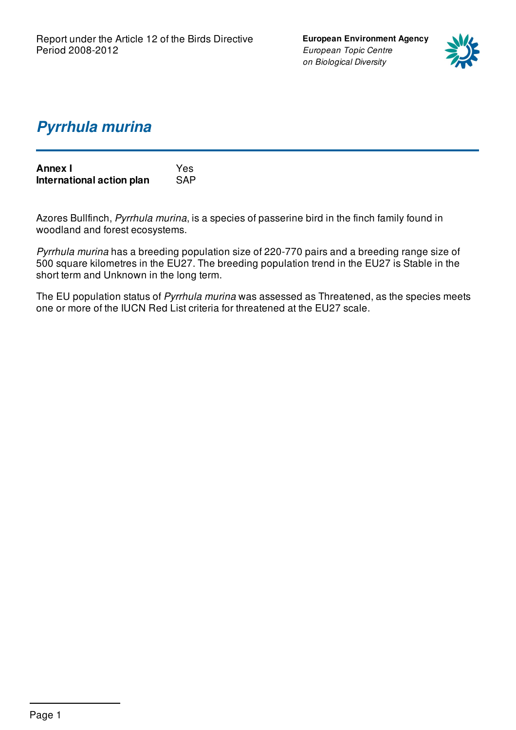**European Environment Agency** *European Topic Centre on Biological Diversity*



## *Pyrrhula murina*

| <b>Annex I</b>            | Yes        |
|---------------------------|------------|
| International action plan | <b>SAP</b> |

Azores Bullfinch, *Pyrrhula murina*, is a species of passerine bird in the finch family found in woodland and forest ecosystems.

*Pyrrhula murina* has a breeding population size of 220-770 pairs and a breeding range size of 500 square kilometres in the EU27. The breeding population trend in the EU27 is Stable in the short term and Unknown in the long term.

The EU population status of *Pyrrhula murina* was assessed as Threatened, as the species meets one or more of the IUCN Red List criteria for threatened at the EU27 scale.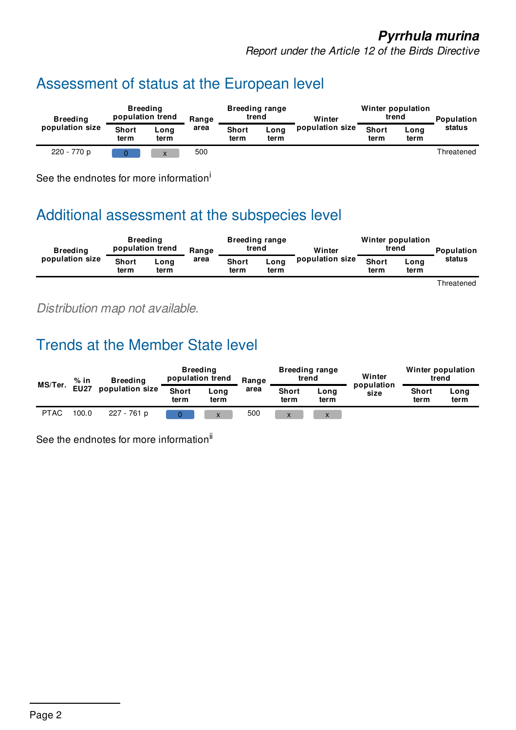### *Pyrrhula murina*

*Report under the Article 12 of the Birds Directive*

# Assessment of status at the European level

| <b>Breeding</b> | <b>Breeding</b><br>population trend |                           | Range |                      | <b>Breeding range</b><br>trend | Winter          | Winter population<br>trend |              | <b>Population</b> |
|-----------------|-------------------------------------|---------------------------|-------|----------------------|--------------------------------|-----------------|----------------------------|--------------|-------------------|
| population size | <b>Short</b><br>term                | Long<br>term              | area  | <b>Short</b><br>term | Long<br>term                   | population size | <b>Short</b><br>term       | Long<br>term | status            |
| 220 - 770 p     |                                     | $\mathbf{v}$<br>$\Lambda$ | 500   |                      |                                |                 |                            |              | Threatened        |

See the endnotes for more information<sup>i</sup>

## Additional assessment at the subspecies level

| <b>Breeding</b><br>population size | <b>Breeding</b><br>population trend |              | Range | <b>Breeding range</b><br>trend |              | Winter          | Winter population<br>trend |              | <b>Population</b> |
|------------------------------------|-------------------------------------|--------------|-------|--------------------------------|--------------|-----------------|----------------------------|--------------|-------------------|
|                                    | <b>Short</b><br>term                | Long<br>term | area  | <b>Short</b><br>term           | Long<br>term | population size | <b>Short</b><br>term       | Long<br>term | status            |

Threatened

*Distribution map not available.*

# Trends at the Member State level

| MS/Ter.     | $%$ in          | <b>Breeding</b>      | <b>Breeding</b><br>population trend |      | Range                | <b>Breeding range</b><br>trend |      | Winter<br>population | Winter population<br>trend |  |
|-------------|-----------------|----------------------|-------------------------------------|------|----------------------|--------------------------------|------|----------------------|----------------------------|--|
| <b>EU27</b> | population size | <b>Short</b><br>term | Long<br>term                        | area | <b>Short</b><br>term | Long<br>term                   | size | <b>Short</b><br>term | Long<br>term               |  |
| <b>PTAC</b> | 100.0           | 227 - 761 p          |                                     | X    | 500                  | $\mathbf v$                    |      |                      |                            |  |

See the endnotes for more information<sup>ii</sup>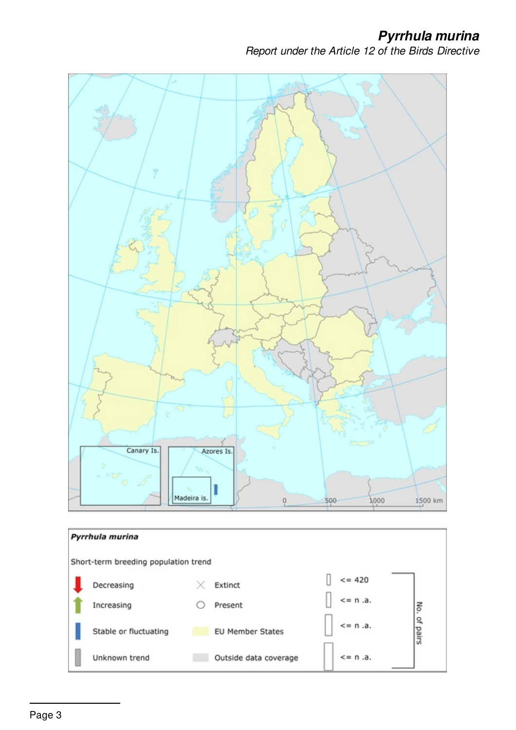*Pyrrhula murina*

*Report under the Article 12 of the Birds Directive*



Outside data coverage

 $\leq n$ .a.

Unknown trend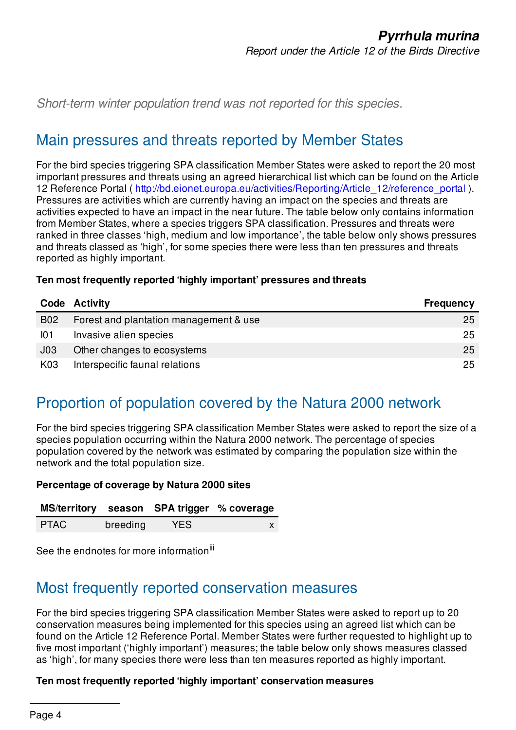*Short-term winter population trend was not reported for this species.*

## Main pressures and threats reported by Member States

For the bird species triggering SPA classification Member States were asked to report the 20 most important pressures and threats using an agreed hierarchical list which can be found on the Article 12 Reference Portal ( [http://bd.eionet.europa.eu/activities/Reporting/Article\\_12/reference\\_portal](http://bd.eionet.europa.eu/activities/Reporting/Article_12/reference_portal) ). Pressures are activities which are currently having an impact on the species and threats are activities expected to have an impact in the near future. The table below only contains information from Member States, where a species triggers SPA classification. Pressures and threats were ranked in three classes 'high, medium and low importance', the table below only shows pressures and threats classed as 'high', for some species there were less than ten pressures and threats reported as highly important.

#### **Ten most frequently reported 'highly important' pressures and threats**

|            | Code Activity                          | <b>Frequency</b> |
|------------|----------------------------------------|------------------|
| <b>B02</b> | Forest and plantation management & use | 25               |
| 101        | Invasive alien species                 | 25               |
| J03        | Other changes to ecosystems            | 25               |
| K03        | Interspecific faunal relations         | 25               |

## Proportion of population covered by the Natura 2000 network

For the bird species triggering SPA classification Member States were asked to report the size of a species population occurring within the Natura 2000 network. The percentage of species population covered by the network was estimated by comparing the population size within the network and the total population size.

#### **Percentage of coverage by Natura 2000 sites**

|  |  | MS/territory season SPA trigger % coverage |  |
|--|--|--------------------------------------------|--|
|--|--|--------------------------------------------|--|

| <b>PTAC</b> | breeding | <b>YES</b> |  |
|-------------|----------|------------|--|
|             |          |            |  |

See the endnotes for more information<sup>iii</sup>

### Most frequently reported conservation measures

For the bird species triggering SPA classification Member States were asked to report up to 20 conservation measures being implemented for this species using an agreed list which can be found on the Article 12 Reference Portal. Member States were further requested to highlight up to five most important ('highly important') measures; the table below only shows measures classed as 'high', for many species there were less than ten measures reported as highly important.

#### **Ten most frequently reported 'highly important' conservation measures**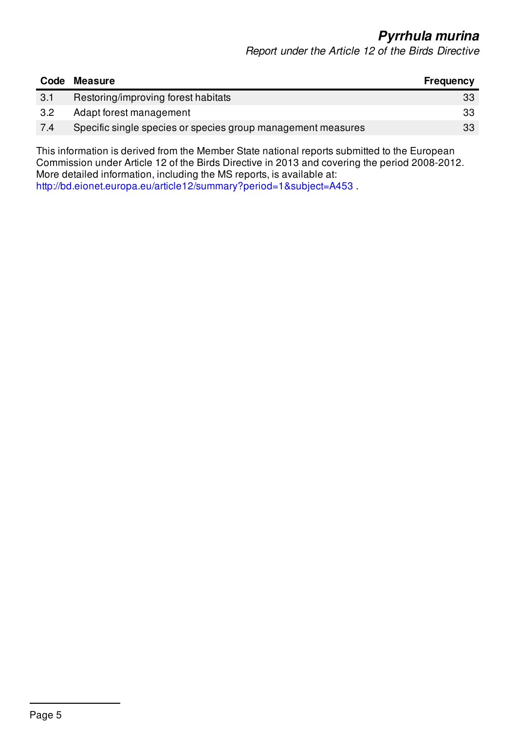*Pyrrhula murina*

*Report under the Article 12 of the Birds Directive*

| Code | <b>Measure</b>                                               | <b>Frequency</b> |
|------|--------------------------------------------------------------|------------------|
| 3.1  | Restoring/improving forest habitats                          | 33               |
| 3.2  | Adapt forest management                                      | 33               |
| 7.4  | Specific single species or species group management measures | 33               |

This information is derived from the Member State national reports submitted to the European Commission under Article 12 of the Birds Directive in 2013 and covering the period 2008-2012. More detailed information, including the MS reports, is available at: <http://bd.eionet.europa.eu/article12/summary?period=1&subject=A453> .